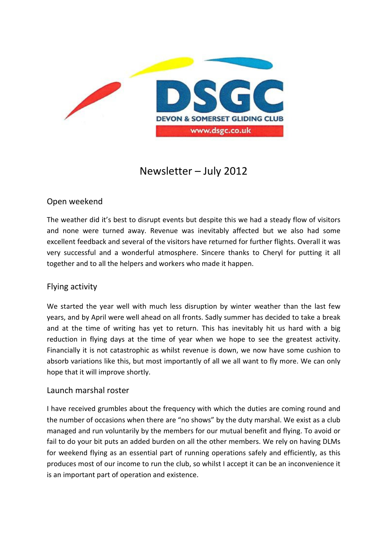

# Newsletter – July 2012

# Open weekend

The weather did it's best to disrupt events but despite this we had a steady flow of visitors and none were turned away. Revenue was inevitably affected but we also had some excellent feedback and several of the visitors have returned for further flights. Overall it was very successful and a wonderful atmosphere. Sincere thanks to Cheryl for putting it all together and to all the helpers and workers who made it happen.

## Flying activity

We started the year well with much less disruption by winter weather than the last few years, and by April were well ahead on all fronts. Sadly summer has decided to take a break and at the time of writing has yet to return. This has inevitably hit us hard with a big reduction in flying days at the time of year when we hope to see the greatest activity. Financially it is not catastrophic as whilst revenue is down, we now have some cushion to absorb variations like this, but most importantly of all we all want to fly more. We can only hope that it will improve shortly.

#### Launch marshal roster

I have received grumbles about the frequency with which the duties are coming round and the number of occasions when there are "no shows" by the duty marshal. We exist as a club managed and run voluntarily by the members for our mutual benefit and flying. To avoid or fail to do your bit puts an added burden on all the other members. We rely on having DLMs for weekend flying as an essential part of running operations safely and efficiently, as this produces most of our income to run the club, so whilst I accept it can be an inconvenience it is an important part of operation and existence.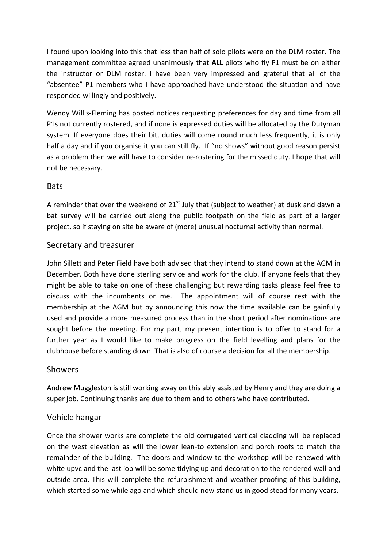I found upon looking into this that less than half of solo pilots were on the DLM roster. The management committee agreed unanimously that ALL pilots who fly P1 must be on either the instructor or DLM roster. I have been very impressed and grateful that all of the "absentee" P1 members who I have approached have understood the situation and have responded willingly and positively.

Wendy Willis-Fleming has posted notices requesting preferences for day and time from all P1s not currently rostered, and if none is expressed duties will be allocated by the Dutyman system. If everyone does their bit, duties will come round much less frequently, it is only half a day and if you organise it you can still fly. If "no shows" without good reason persist as a problem then we will have to consider re-rostering for the missed duty. I hope that will not be necessary.

#### Bats

A reminder that over the weekend of  $21<sup>st</sup>$  July that (subject to weather) at dusk and dawn a bat survey will be carried out along the public footpath on the field as part of a larger project, so if staying on site be aware of (more) unusual nocturnal activity than normal.

## Secretary and treasurer

John Sillett and Peter Field have both advised that they intend to stand down at the AGM in December. Both have done sterling service and work for the club. If anyone feels that they might be able to take on one of these challenging but rewarding tasks please feel free to discuss with the incumbents or me. The appointment will of course rest with the membership at the AGM but by announcing this now the time available can be gainfully used and provide a more measured process than in the short period after nominations are sought before the meeting. For my part, my present intention is to offer to stand for a further year as I would like to make progress on the field levelling and plans for the clubhouse before standing down. That is also of course a decision for all the membership.

## **Showers**

Andrew Muggleston is still working away on this ably assisted by Henry and they are doing a super job. Continuing thanks are due to them and to others who have contributed.

## Vehicle hangar

Once the shower works are complete the old corrugated vertical cladding will be replaced on the west elevation as will the lower lean-to extension and porch roofs to match the remainder of the building. The doors and window to the workshop will be renewed with white upvc and the last job will be some tidying up and decoration to the rendered wall and outside area. This will complete the refurbishment and weather proofing of this building, which started some while ago and which should now stand us in good stead for many years.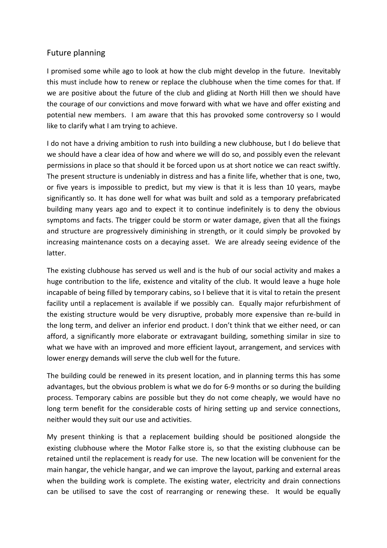## Future planning

I promised some while ago to look at how the club might develop in the future. Inevitably this must include how to renew or replace the clubhouse when the time comes for that. If we are positive about the future of the club and gliding at North Hill then we should have the courage of our convictions and move forward with what we have and offer existing and potential new members. I am aware that this has provoked some controversy so I would like to clarify what I am trying to achieve.

I do not have a driving ambition to rush into building a new clubhouse, but I do believe that we should have a clear idea of how and where we will do so, and possibly even the relevant permissions in place so that should it be forced upon us at short notice we can react swiftly. The present structure is undeniably in distress and has a finite life, whether that is one, two, or five years is impossible to predict, but my view is that it is less than 10 years, maybe significantly so. It has done well for what was built and sold as a temporary prefabricated building many years ago and to expect it to continue indefinitely is to deny the obvious symptoms and facts. The trigger could be storm or water damage, given that all the fixings and structure are progressively diminishing in strength, or it could simply be provoked by increasing maintenance costs on a decaying asset. We are already seeing evidence of the latter.

The existing clubhouse has served us well and is the hub of our social activity and makes a huge contribution to the life, existence and vitality of the club. It would leave a huge hole incapable of being filled by temporary cabins, so I believe that it is vital to retain the present facility until a replacement is available if we possibly can. Equally major refurbishment of the existing structure would be very disruptive, probably more expensive than re-build in the long term, and deliver an inferior end product. I don't think that we either need, or can afford, a significantly more elaborate or extravagant building, something similar in size to what we have with an improved and more efficient layout, arrangement, and services with lower energy demands will serve the club well for the future.

The building could be renewed in its present location, and in planning terms this has some advantages, but the obvious problem is what we do for 6-9 months or so during the building process. Temporary cabins are possible but they do not come cheaply, we would have no long term benefit for the considerable costs of hiring setting up and service connections, neither would they suit our use and activities.

My present thinking is that a replacement building should be positioned alongside the existing clubhouse where the Motor Falke store is, so that the existing clubhouse can be retained until the replacement is ready for use. The new location will be convenient for the main hangar, the vehicle hangar, and we can improve the layout, parking and external areas when the building work is complete. The existing water, electricity and drain connections can be utilised to save the cost of rearranging or renewing these. It would be equally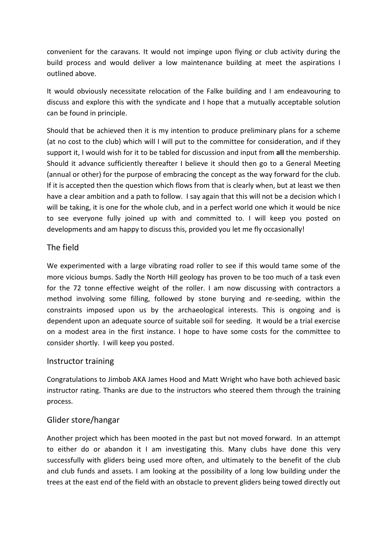convenient for the caravans. It would not impinge upon flying or club activity during the build process and would deliver a low maintenance building at meet the aspirations I outlined above.

It would obviously necessitate relocation of the Falke building and I am endeavouring to discuss and explore this with the syndicate and I hope that a mutually acceptable solution can be found in principle.

Should that be achieved then it is my intention to produce preliminary plans for a scheme (at no cost to the club) which will I will put to the committee for consideration, and if they support it, I would wish for it to be tabled for discussion and input from all the membership. Should it advance sufficiently thereafter I believe it should then go to a General Meeting (annual or other) for the purpose of embracing the concept as the way forward for the club. If it is accepted then the question which flows from that is clearly when, but at least we then have a clear ambition and a path to follow. I say again that this will not be a decision which I will be taking, it is one for the whole club, and in a perfect world one which it would be nice to see everyone fully joined up with and committed to. I will keep you posted on developments and am happy to discuss this, provided you let me fly occasionally!

## The field

We experimented with a large vibrating road roller to see if this would tame some of the more vicious bumps. Sadly the North Hill geology has proven to be too much of a task even for the 72 tonne effective weight of the roller. I am now discussing with contractors a method involving some filling, followed by stone burying and re-seeding, within the constraints imposed upon us by the archaeological interests. This is ongoing and is dependent upon an adequate source of suitable soil for seeding. It would be a trial exercise on a modest area in the first instance. I hope to have some costs for the committee to consider shortly. I will keep you posted.

## Instructor training

Congratulations to Jimbob AKA James Hood and Matt Wright who have both achieved basic instructor rating. Thanks are due to the instructors who steered them through the training process.

# Glider store/hangar

Another project which has been mooted in the past but not moved forward. In an attempt to either do or abandon it I am investigating this. Many clubs have done this very successfully with gliders being used more often, and ultimately to the benefit of the club and club funds and assets. I am looking at the possibility of a long low building under the trees at the east end of the field with an obstacle to prevent gliders being towed directly out